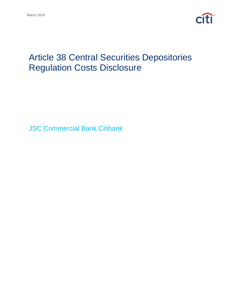

# Article 38 Central Securities Depositories Regulation Costs Disclosure

JSC Commercial Bank Citibank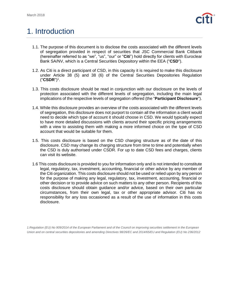

#### 1. Introduction

- 1.1. The purpose of this document is to disclose the costs associated with the different levels of segregation provided in respect of securities that JSC Commercial Bank Citibank (hereinafter referred to as "we", "us", "our" or "**Citi**") hold directly for clients with Euroclear Bank SA/NV, which is a Central Securities Depository within the EEA ("**CSD**").
- 1.2. As Citi is a direct participant of CSD, in this capacity it is required to make this disclosure under Article 38 (5) and 38 (6) of the Central Securities Depositories Regulation ("**CSDR**") 1 .
- 1.3. This costs disclosure should be read in conjunction with our disclosure on the levels of protection associated with the different levels of segregation, including the main legal implications of the respective levels of segregation offered (the "**Participant Disclosure**").
- 1.4. While this disclosure provides an overview of the costs associated with the different levels of segregation, this disclosure does not purport to contain all the information a client would need to decide which type of account it should choose in CSD. We would typically expect to have more detailed discussions with clients around their specific pricing arrangements with a view to assisting them with making a more informed choice on the type of CSD account that would be suitable for them.
- 1.5. This costs disclosure is based on the CSD charging structure as of the date of this disclosure. CSD may change its charging structure from time to time and potentially when the CSD is duly authorised under CSDR. For up to date CSD fees and charges, clients can visit its website.
- 1.6 This costs disclosure is provided to you for information only and is not intended to constitute legal, regulatory, tax, investment, accounting, financial or other advice by any member of the Citi organization. This costs disclosure should not be used or relied upon by any person for the purpose of making any legal, regulatory, tax, investment, accounting, financial or other decision or to provide advice on such matters to any other person. Recipients of this costs disclosure should obtain guidance and/or advice, based on their own particular circumstances, from their own legal, tax or other appropriate advisor. Citi has no responsibility for any loss occasioned as a result of the use of information in this costs disclosure.

*1.Regulation (EU) No 909/2014 of the European Parliament and of the Council on improving securities settlement in the European Union and on central securities depositories and amending Directives 98/26/EC and 2014/65/EU and Regulation (EU) No 236/2012*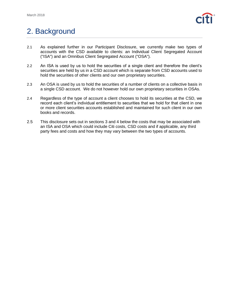

## 2. Background

- 2.1 As explained further in our Participant Disclosure, we currently make two types of accounts with the CSD available to clients: an Individual Client Segregated Account ("ISA") and an Omnibus Client Segregated Account ("OSA").
- 2.2 An ISA is used by us to hold the securities of a single client and therefore the client's securities are held by us in a CSD account which is separate from CSD accounts used to hold the securities of other clients and our own proprietary securities.
- 2.3 An OSA is used by us to hold the securities of a number of clients on a collective basis in a single CSD account. We do not however hold our own proprietary securities in OSAs.
- 2.4 Regardless of the type of account a client chooses to hold its securities at the CSD, we record each client's individual entitlement to securities that we hold for that client in one or more client securities accounts established and maintained for such client in our own books and records.
- 2.5 This disclosure sets out in sections 3 and 4 below the costs that may be associated with an ISA and OSA which could include Citi costs, CSD costs and if applicable, any third party fees and costs and how they may vary between the two types of accounts.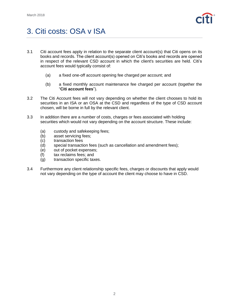

## 3. Citi costs: OSA v ISA

- 3.1 Citi account fees apply in relation to the separate client account(s) that Citi opens on its books and records. The client account(s) opened on Citi's books and records are opened in respect of the relevant CSD account in which the client's securities are held. Citi's account fees would typically consist of:
	- (a) a fixed one-off account opening fee charged per account; and
	- (b) a fixed monthly account maintenance fee charged per account (together the "**Citi account fees**").
- 3.2 The Citi Account fees will not vary depending on whether the client chooses to hold its securities in an ISA or an OSA at the CSD and regardless of the type of CSD account chosen, will be borne in full by the relevant client.
- 3.3 In addition there are a number of costs, charges or fees associated with holding securities which would not vary depending on the account structure. These include:
	- (a) custody and safekeeping fees;
	- (b) asset servicing fees;
	- (c) transaction fees
	- (d) special transaction fees (such as cancellation and amendment fees);
	- (e) out of pocket expenses;
	- (f) tax reclaims fees; and
	- (g) transaction specific taxes.
- 3.4 Furthermore any client relationship specific fees, charges or discounts that apply would not vary depending on the type of account the client may choose to have in CSD.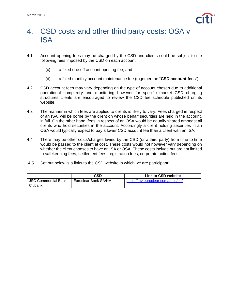

#### 4. CSD costs and other third party costs: OSA v ISA

- 4.1 Account opening fees may be charged by the CSD and clients could be subject to the following fees imposed by the CSD on each account:
	- (c) a fixed one off account opening fee; and
	- (d) a fixed monthly account maintenance fee (together the "**CSD account fees**").
- 4.2 CSD account fees may vary depending on the type of account chosen due to additional operational complexity and monitoring however for specific market CSD charging structures clients are encouraged to review the CSD fee schedule published on its website.
- 4.3 The manner in which fees are applied to clients is likely to vary. Fees charged in respect of an ISA, will be borne by the client on whose behalf securities are held in the account, in full. On the other hand, fees in respect of an OSA would be equally shared amongst all clients who hold securities in the account. Accordingly a client holding securities in an OSA would typically expect to pay a lower CSD account fee than a client with an ISA.
- 4.4 There may be other costs/charges levied by the CSD (or a third party) from time to time would be passed to the client at cost. These costs would not however vary depending on whether the client chooses to have an ISA or OSA. These costs include but are not limited to safekeeping fees, settlement fees, registration fees, corporate action fees.
- 4.5 Set out below is a links to the CSD website in which we are participant:

|                            | CSD                  | <b>Link to CSD website</b>        |
|----------------------------|----------------------|-----------------------------------|
| <b>JSC Commercial Bank</b> | Euroclear Bank SA/NV | https://my.euroclear.com/apps/en/ |
| Citibank                   |                      |                                   |